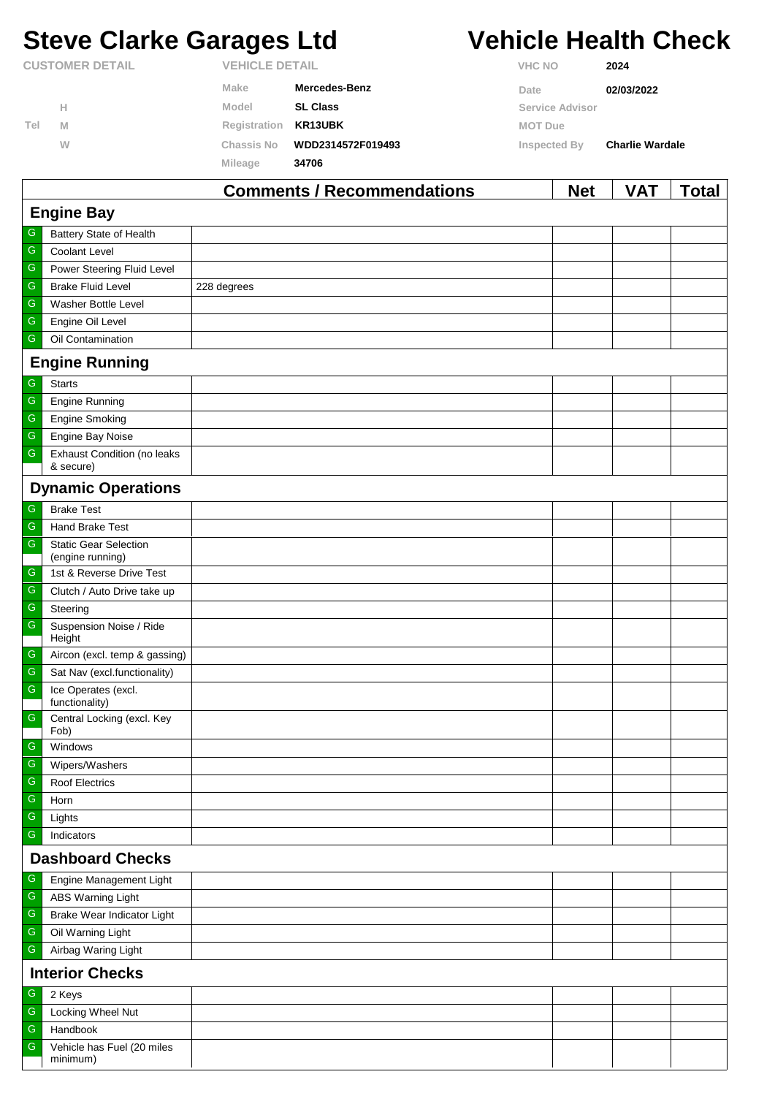## **Steve Clarke Garages Ltd Vehicle Health Check**

**CUSTOMER DETAIL VEHICLE DETAIL**

**H**

**M W**

**Tel**

**Registration KR13UBK**

**Chassis No WDD2314572F019493**

**VHC NO 2024**

| Make  | Mercedes-Benz   | Date            | 02/03/2022 |
|-------|-----------------|-----------------|------------|
| Model | <b>SL Class</b> | Service Advisor |            |

**MOT Due**

**Inspected By Charlie Wardale**

|               | Mileage<br>34706                                              |                                   |            |            |              |  |  |  |
|---------------|---------------------------------------------------------------|-----------------------------------|------------|------------|--------------|--|--|--|
|               |                                                               | <b>Comments / Recommendations</b> | <b>Net</b> | <b>VAT</b> | <b>Total</b> |  |  |  |
|               | <b>Engine Bay</b>                                             |                                   |            |            |              |  |  |  |
| G             | Battery State of Health                                       |                                   |            |            |              |  |  |  |
| ${\mathsf G}$ | Coolant Level                                                 |                                   |            |            |              |  |  |  |
| ${\mathsf G}$ | Power Steering Fluid Level                                    |                                   |            |            |              |  |  |  |
| ${\mathsf G}$ | <b>Brake Fluid Level</b>                                      | 228 degrees                       |            |            |              |  |  |  |
| G             | <b>Washer Bottle Level</b>                                    |                                   |            |            |              |  |  |  |
| ${\mathsf G}$ | Engine Oil Level                                              |                                   |            |            |              |  |  |  |
| ${\mathsf G}$ | Oil Contamination                                             |                                   |            |            |              |  |  |  |
|               | <b>Engine Running</b>                                         |                                   |            |            |              |  |  |  |
| ${\mathsf G}$ | <b>Starts</b>                                                 |                                   |            |            |              |  |  |  |
| ${\mathsf G}$ | <b>Engine Running</b>                                         |                                   |            |            |              |  |  |  |
| ${\mathsf G}$ | <b>Engine Smoking</b>                                         |                                   |            |            |              |  |  |  |
| $\mathsf G$   | Engine Bay Noise                                              |                                   |            |            |              |  |  |  |
| ${\mathsf G}$ | <b>Exhaust Condition (no leaks</b>                            |                                   |            |            |              |  |  |  |
|               | & secure)                                                     |                                   |            |            |              |  |  |  |
|               | <b>Dynamic Operations</b>                                     |                                   |            |            |              |  |  |  |
| G             | <b>Brake Test</b>                                             |                                   |            |            |              |  |  |  |
| ${\mathsf G}$ | Hand Brake Test                                               |                                   |            |            |              |  |  |  |
| ${\mathsf G}$ | <b>Static Gear Selection</b><br>(engine running)              |                                   |            |            |              |  |  |  |
| G             | 1st & Reverse Drive Test                                      |                                   |            |            |              |  |  |  |
| ${\mathsf G}$ | Clutch / Auto Drive take up                                   |                                   |            |            |              |  |  |  |
| G             | Steering                                                      |                                   |            |            |              |  |  |  |
| ${\mathsf G}$ | Suspension Noise / Ride                                       |                                   |            |            |              |  |  |  |
| ${\mathsf G}$ | Height                                                        |                                   |            |            |              |  |  |  |
| ${\mathsf G}$ | Aircon (excl. temp & gassing)<br>Sat Nav (excl.functionality) |                                   |            |            |              |  |  |  |
| ${\mathsf G}$ | Ice Operates (excl.                                           |                                   |            |            |              |  |  |  |
|               | functionality)                                                |                                   |            |            |              |  |  |  |
| ${\mathsf G}$ | Central Locking (excl. Key<br>Fob)                            |                                   |            |            |              |  |  |  |
| $\mid$ G      | Windows                                                       |                                   |            |            |              |  |  |  |
| G             | Wipers/Washers                                                |                                   |            |            |              |  |  |  |
| G             | Roof Electrics                                                |                                   |            |            |              |  |  |  |
| ${\mathsf G}$ | Horn                                                          |                                   |            |            |              |  |  |  |
| ${\mathsf G}$ | Lights                                                        |                                   |            |            |              |  |  |  |
| G             | Indicators                                                    |                                   |            |            |              |  |  |  |
|               | <b>Dashboard Checks</b>                                       |                                   |            |            |              |  |  |  |
| ${\mathsf G}$ | Engine Management Light                                       |                                   |            |            |              |  |  |  |
| G             | <b>ABS Warning Light</b>                                      |                                   |            |            |              |  |  |  |
| G             | Brake Wear Indicator Light                                    |                                   |            |            |              |  |  |  |
| ${\mathsf G}$ | Oil Warning Light                                             |                                   |            |            |              |  |  |  |
| ${\mathsf G}$ | Airbag Waring Light                                           |                                   |            |            |              |  |  |  |
|               | <b>Interior Checks</b>                                        |                                   |            |            |              |  |  |  |
| G<br>2 Keys   |                                                               |                                   |            |            |              |  |  |  |
| ${\mathsf G}$ | Locking Wheel Nut                                             |                                   |            |            |              |  |  |  |
| G             | Handbook                                                      |                                   |            |            |              |  |  |  |
| ${\mathsf G}$ | Vehicle has Fuel (20 miles                                    |                                   |            |            |              |  |  |  |
|               | minimum)                                                      |                                   |            |            |              |  |  |  |